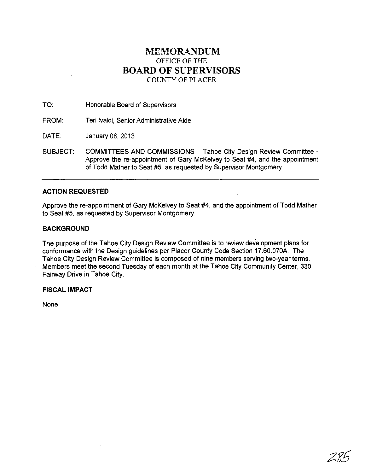### **MEMORANDUM**  OFFICE OF THE **BOARD OF SUPERVISORS**  COUNTY OF PLACER

TO: Honorable Board of Supervisors

FROM: Teri Ivaldi, Senior Administrative Aide

DATE: January 08,2013

SUBJECT: COMMITTEES AND COMMISSIONS - Tahoe City Design Review Committee -Approve the re-appointment of Gary McKelvey to Seat #4, and the appointment of Todd Mather to Seat #5, as requested by Supervisor Montgomery.

#### **ACTION REQUESTED**

Approve the re-appointment of Gary McKelvey to Seat #4, and the appointment of Todd Mather to Seat #5, as requested by Supervisor Montgomery.

#### **BACKGROUND**

The purpose of the Tahoe City Design Review Committee is to review development plans for conformance with the Design guidelines per Placer County Code Section 17.60.070A. The Tahoe City Design Review Committee is composed of nine members serving two-year terms. Members meet the second Tuesday of each month at the Tahoe City Community Center, 330 Fairway Drive in Tahoe City.

#### **FISCAL IMPACT**

None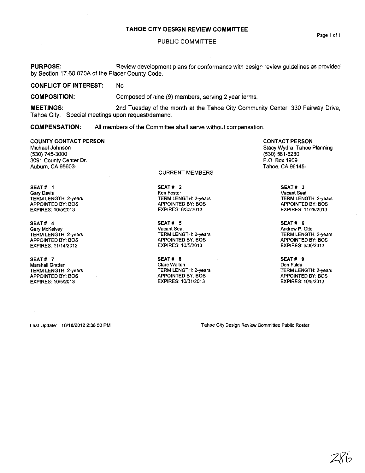#### TAHOE CITY DESIGN REVIEW COMMITIEE

#### PUBLIC COMMITTEE

PURPOSE: Review development plans for conformance with design review guidelines as provided by Section 17.60.070A of the Placer County Code.

CONFLICT OF INTEREST: No

COMPOSITION: Composed of nine (9) members, serving 2 year terms.

MEETINGS: 2nd Tuesday of the month at the Tahoe City Community Center, 330 Fairway Drive, Tahoe City. Special meetings upon request/demand.

COMPENSATION: All members of the Committee shall serve without compensation.

#### COUNTY CONTACT PERSON

Michael Johnson (530) 745-3000 3091 County Center Dr. Auburn, CA 95603-

SEAT # 1 **Gary Davis**  TERM LENGTH: 2-years APPOINTED BY: BOS EXPIRES: 10/5/2013

SEAT# 4 Gary McKelvey TERM LENGTH: 2-years APPOINTED BY: BOS EXPIRES: 11/14/2012

SEAT# 7 **Marshall Grattan**  TERM LENGTH: 2-years APPOINTED BY: BOS EXPIRES: 10/5/2013

CURRENT MEMBERS

SEAT# 2 **Ken Foster**  TERM LENGTH: 2-years APPOINTED BY: BOS EXPIRES: 6/30/2013

SEAT# 5 Vacant Seat TERM LENGTH: 2-years APPOINTED BY: BOS EXPIRES: 10/5/2013

SEAT# 8 Clare Walton TERM LENGTH: 2-years APPOINTED BY: BOS EXPIRES: 10/3112013

CONTACT PERSON Stacy Wydra, Tahoe Planning (530) 581-6280 P.O. Box 1909 Tahoe, CA 96145-

> SEAT# 3 **Vacant Seat**  TERM LENGTH: 2-years APPOINTED BY: BOS EXPIRES: 11/29/2013

> SEAT# 6 Andrew P. Otto TERM LENGTH: 2-years APPOINTED BY: BOS EXPIRES: 6/30/2013

> SEAT# 9 Don Fulda TERM LENGTH: 2-years APPOINTED BY: BOS EXPIRES: 10/5/2013

Last Update: 10/18/2012 2:38:50 PM

**Tahoe City Design Review Committee Public Roster** 

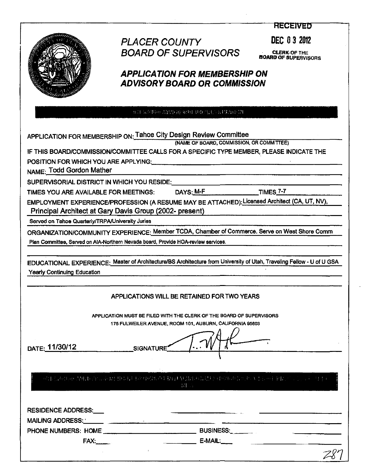**RECEIVED** 



# PLACER COUNTY DEC 03 2012 **BOARD OF SUPERVISORS**

**CLERK OF THE<br>BOARD OF SUPERVISORS** 

## **APPLICATION FOR MEMBERSHIP ON ADVISORY BOARD OR COMMISSION**

REFERENCE THE REPORT OF PARTNERS

| (NAME OF BOARD, COMMISSION, OR COMMITTEE)<br>IF THIS BOARD/COMMISSION/COMMITTEE CALLS FOR A SPECIFIC TYPE MEMBER, PLEASE INDICATE THE |                                                                                                                                                                                                                                                                                                                                                                                                                                                                                                                                                                                                                                                                                                                                                                                                                                                                                                                                                                                                                                                                                                                                                                                                                                                                                                                |  |  |  |  |  |  |
|---------------------------------------------------------------------------------------------------------------------------------------|----------------------------------------------------------------------------------------------------------------------------------------------------------------------------------------------------------------------------------------------------------------------------------------------------------------------------------------------------------------------------------------------------------------------------------------------------------------------------------------------------------------------------------------------------------------------------------------------------------------------------------------------------------------------------------------------------------------------------------------------------------------------------------------------------------------------------------------------------------------------------------------------------------------------------------------------------------------------------------------------------------------------------------------------------------------------------------------------------------------------------------------------------------------------------------------------------------------------------------------------------------------------------------------------------------------|--|--|--|--|--|--|
|                                                                                                                                       |                                                                                                                                                                                                                                                                                                                                                                                                                                                                                                                                                                                                                                                                                                                                                                                                                                                                                                                                                                                                                                                                                                                                                                                                                                                                                                                |  |  |  |  |  |  |
|                                                                                                                                       |                                                                                                                                                                                                                                                                                                                                                                                                                                                                                                                                                                                                                                                                                                                                                                                                                                                                                                                                                                                                                                                                                                                                                                                                                                                                                                                |  |  |  |  |  |  |
|                                                                                                                                       |                                                                                                                                                                                                                                                                                                                                                                                                                                                                                                                                                                                                                                                                                                                                                                                                                                                                                                                                                                                                                                                                                                                                                                                                                                                                                                                |  |  |  |  |  |  |
|                                                                                                                                       |                                                                                                                                                                                                                                                                                                                                                                                                                                                                                                                                                                                                                                                                                                                                                                                                                                                                                                                                                                                                                                                                                                                                                                                                                                                                                                                |  |  |  |  |  |  |
|                                                                                                                                       |                                                                                                                                                                                                                                                                                                                                                                                                                                                                                                                                                                                                                                                                                                                                                                                                                                                                                                                                                                                                                                                                                                                                                                                                                                                                                                                |  |  |  |  |  |  |
|                                                                                                                                       |                                                                                                                                                                                                                                                                                                                                                                                                                                                                                                                                                                                                                                                                                                                                                                                                                                                                                                                                                                                                                                                                                                                                                                                                                                                                                                                |  |  |  |  |  |  |
|                                                                                                                                       |                                                                                                                                                                                                                                                                                                                                                                                                                                                                                                                                                                                                                                                                                                                                                                                                                                                                                                                                                                                                                                                                                                                                                                                                                                                                                                                |  |  |  |  |  |  |
|                                                                                                                                       |                                                                                                                                                                                                                                                                                                                                                                                                                                                                                                                                                                                                                                                                                                                                                                                                                                                                                                                                                                                                                                                                                                                                                                                                                                                                                                                |  |  |  |  |  |  |
|                                                                                                                                       |                                                                                                                                                                                                                                                                                                                                                                                                                                                                                                                                                                                                                                                                                                                                                                                                                                                                                                                                                                                                                                                                                                                                                                                                                                                                                                                |  |  |  |  |  |  |
|                                                                                                                                       |                                                                                                                                                                                                                                                                                                                                                                                                                                                                                                                                                                                                                                                                                                                                                                                                                                                                                                                                                                                                                                                                                                                                                                                                                                                                                                                |  |  |  |  |  |  |
| <b>Yearly Continuing Education</b>                                                                                                    | APPLICATION FOR MEMBERSHIP ON: Tahoe City Design Review Committee<br>POSITION FOR WHICH YOU ARE APPLYING: Network and the state of the state of the state of the state of the state of the state of the state of the state of the state of the state of the state of the state of the state of the<br>NAME: Todd Gordon Mather<br>SUPERVISORIAL DISTRICT IN WHICH YOU RESIDE:<br>TIMES <sub>7</sub> -7<br>DAYS: M-F<br>TIMES YOU ARE AVAILABLE FOR MEETINGS:<br>EMPLOYMENT EXPERIENCE/PROFESSION (A RESUME MAY BE ATTACHED): Licensed Architect (CA, UT, NV),<br>Principal Architect at Gary Davis Group (2002- present)<br>Served on Tahoe Quarterly/TRPA/University Juries<br>ORGANIZATION/COMMUNITY EXPERIENCE: Member TCDA, Chamber of Commerce. Serve on West Shore Comm<br>Plan Committee, Served on AIA-Northern Nevada board, Provide HOA-review services.<br>EDUCATIONAL EXPERIENCE: Master of Architecture/BS Architecture from University of Utah, Traveling Fellow - U of U GSA<br>APPLICATIONS WILL BE RETAINED FOR TWO YEARS<br>APPLICATION MUST BE FILED WITH THE CLERK OF THE BOARD OF SUPERVISORS<br>175 FULWEILER AVENUE, ROOM 101, AUBURN, CALIFORNIA 95603<br>DATE: 11/30/12<br><b>SIGNATURE</b><br>可以的机构 想出的 计信道程序 计中断 网络巴西亚美国西南部城市 化电压 医阿斯特氏试验检尿道 医心包 医中心性神经<br>出版社<br>$E-MAIL:$<br>FAX: |  |  |  |  |  |  |
|                                                                                                                                       |                                                                                                                                                                                                                                                                                                                                                                                                                                                                                                                                                                                                                                                                                                                                                                                                                                                                                                                                                                                                                                                                                                                                                                                                                                                                                                                |  |  |  |  |  |  |
|                                                                                                                                       |                                                                                                                                                                                                                                                                                                                                                                                                                                                                                                                                                                                                                                                                                                                                                                                                                                                                                                                                                                                                                                                                                                                                                                                                                                                                                                                |  |  |  |  |  |  |
|                                                                                                                                       |                                                                                                                                                                                                                                                                                                                                                                                                                                                                                                                                                                                                                                                                                                                                                                                                                                                                                                                                                                                                                                                                                                                                                                                                                                                                                                                |  |  |  |  |  |  |
|                                                                                                                                       |                                                                                                                                                                                                                                                                                                                                                                                                                                                                                                                                                                                                                                                                                                                                                                                                                                                                                                                                                                                                                                                                                                                                                                                                                                                                                                                |  |  |  |  |  |  |
|                                                                                                                                       |                                                                                                                                                                                                                                                                                                                                                                                                                                                                                                                                                                                                                                                                                                                                                                                                                                                                                                                                                                                                                                                                                                                                                                                                                                                                                                                |  |  |  |  |  |  |
|                                                                                                                                       |                                                                                                                                                                                                                                                                                                                                                                                                                                                                                                                                                                                                                                                                                                                                                                                                                                                                                                                                                                                                                                                                                                                                                                                                                                                                                                                |  |  |  |  |  |  |
|                                                                                                                                       |                                                                                                                                                                                                                                                                                                                                                                                                                                                                                                                                                                                                                                                                                                                                                                                                                                                                                                                                                                                                                                                                                                                                                                                                                                                                                                                |  |  |  |  |  |  |
|                                                                                                                                       |                                                                                                                                                                                                                                                                                                                                                                                                                                                                                                                                                                                                                                                                                                                                                                                                                                                                                                                                                                                                                                                                                                                                                                                                                                                                                                                |  |  |  |  |  |  |
|                                                                                                                                       |                                                                                                                                                                                                                                                                                                                                                                                                                                                                                                                                                                                                                                                                                                                                                                                                                                                                                                                                                                                                                                                                                                                                                                                                                                                                                                                |  |  |  |  |  |  |
|                                                                                                                                       |                                                                                                                                                                                                                                                                                                                                                                                                                                                                                                                                                                                                                                                                                                                                                                                                                                                                                                                                                                                                                                                                                                                                                                                                                                                                                                                |  |  |  |  |  |  |
|                                                                                                                                       |                                                                                                                                                                                                                                                                                                                                                                                                                                                                                                                                                                                                                                                                                                                                                                                                                                                                                                                                                                                                                                                                                                                                                                                                                                                                                                                |  |  |  |  |  |  |
|                                                                                                                                       |                                                                                                                                                                                                                                                                                                                                                                                                                                                                                                                                                                                                                                                                                                                                                                                                                                                                                                                                                                                                                                                                                                                                                                                                                                                                                                                |  |  |  |  |  |  |
| <b>RESIDENCE ADDRESS: ___</b>                                                                                                         |                                                                                                                                                                                                                                                                                                                                                                                                                                                                                                                                                                                                                                                                                                                                                                                                                                                                                                                                                                                                                                                                                                                                                                                                                                                                                                                |  |  |  |  |  |  |
|                                                                                                                                       |                                                                                                                                                                                                                                                                                                                                                                                                                                                                                                                                                                                                                                                                                                                                                                                                                                                                                                                                                                                                                                                                                                                                                                                                                                                                                                                |  |  |  |  |  |  |
|                                                                                                                                       |                                                                                                                                                                                                                                                                                                                                                                                                                                                                                                                                                                                                                                                                                                                                                                                                                                                                                                                                                                                                                                                                                                                                                                                                                                                                                                                |  |  |  |  |  |  |
|                                                                                                                                       |                                                                                                                                                                                                                                                                                                                                                                                                                                                                                                                                                                                                                                                                                                                                                                                                                                                                                                                                                                                                                                                                                                                                                                                                                                                                                                                |  |  |  |  |  |  |
|                                                                                                                                       |                                                                                                                                                                                                                                                                                                                                                                                                                                                                                                                                                                                                                                                                                                                                                                                                                                                                                                                                                                                                                                                                                                                                                                                                                                                                                                                |  |  |  |  |  |  |
|                                                                                                                                       |                                                                                                                                                                                                                                                                                                                                                                                                                                                                                                                                                                                                                                                                                                                                                                                                                                                                                                                                                                                                                                                                                                                                                                                                                                                                                                                |  |  |  |  |  |  |